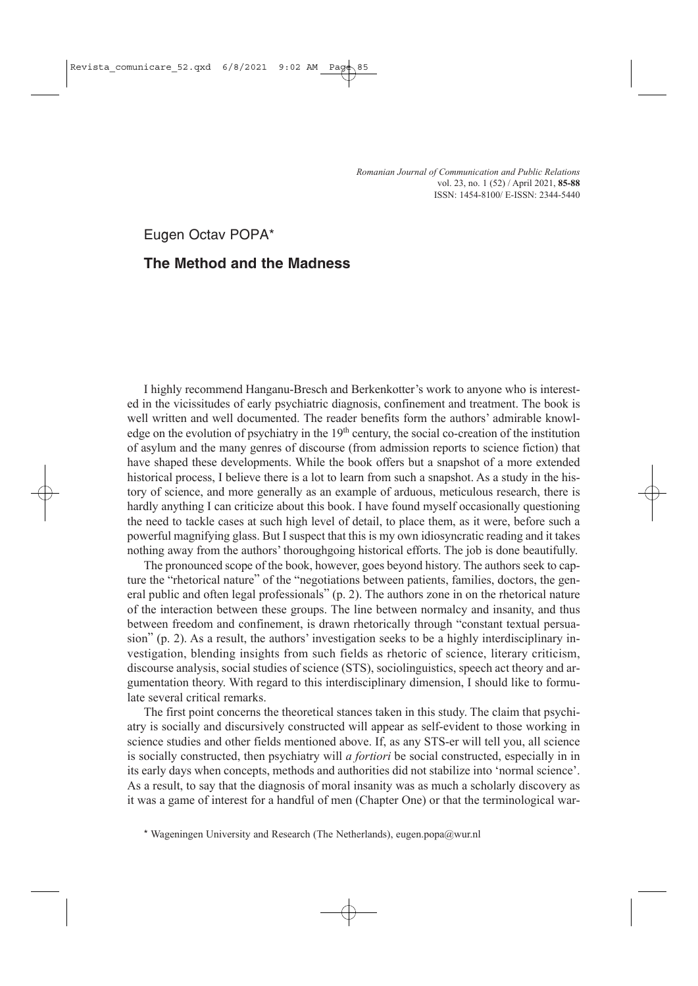*Romanian Journal of Communication and Public Relations* vol. 23, no. 1 (52) / April 2021, **85-88** ISSN: 1454-8100/ E-ISSN: 2344-5440

Eugen Octav POPA\*

## **The Method and the Madness**

I highly recommend Hanganu-Bresch and Berkenkotter's work to anyone who is interested in the vicissitudes of early psychiatric diagnosis, confinement and treatment. The book is well written and well documented. The reader benefits form the authors' admirable knowledge on the evolution of psychiatry in the 19<sup>th</sup> century, the social co-creation of the institution of asylum and the many genres of discourse (from admission reports to science fiction) that have shaped these developments. While the book offers but a snapshot of a more extended historical process, I believe there is a lot to learn from such a snapshot. As a study in the history of science, and more generally as an example of arduous, meticulous research, there is hardly anything I can criticize about this book. I have found myself occasionally questioning the need to tackle cases at such high level of detail, to place them, as it were, before such a powerful magnifying glass. But I suspect that this is my own idiosyncratic reading and it takes nothing away from the authors' thoroughgoing historical efforts. The job is done beautifully.

The pronounced scope of the book, however, goes beyond history. The authors seek to capture the "rhetorical nature" of the "negotiations between patients, families, doctors, the general public and often legal professionals" (p. 2). The authors zone in on the rhetorical nature of the interaction between these groups. The line between normalcy and insanity, and thus between freedom and confinement, is drawn rhetorically through "constant textual persuasion" (p. 2). As a result, the authors' investigation seeks to be a highly interdisciplinary investigation, blending insights from such fields as rhetoric of science, literary criticism, discourse analysis, social studies of science (STS), sociolinguistics, speech act theory and argumentation theory. With regard to this interdisciplinary dimension, I should like to formulate several critical remarks.

The first point concerns the theoretical stances taken in this study. The claim that psychiatry is socially and discursively constructed will appear as self-evident to those working in science studies and other fields mentioned above. If, as any STS-er will tell you, all science is socially constructed, then psychiatry will *a fortiori* be social constructed, especially in in its early days when concepts, methods and authorities did not stabilize into 'normal science'. As a result, to say that the diagnosis of moral insanity was as much a scholarly discovery as it was a game of interest for a handful of men (Chapter One) or that the terminological war-

<sup>\*</sup> Wageningen University and Research (The Netherlands), eugen.popa@wur.nl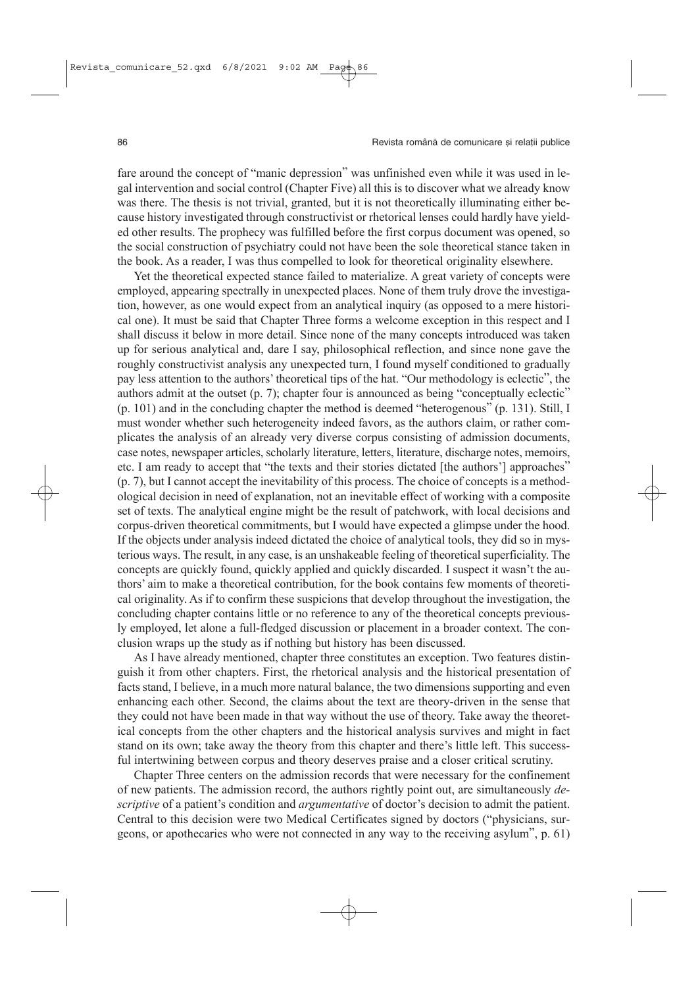fare around the concept of "manic depression" was unfinished even while it was used in legal intervention and social control (Chapter Five) all this is to discover what we already know was there. The thesis is not trivial, granted, but it is not theoretically illuminating either because history investigated through constructivist or rhetorical lenses could hardly have yielded other results. The prophecy was fulfilled before the first corpus document was opened, so the social construction of psychiatry could not have been the sole theoretical stance taken in the book. As a reader, I was thus compelled to look for theoretical originality elsewhere.

Yet the theoretical expected stance failed to materialize. A great variety of concepts were employed, appearing spectrally in unexpected places. None of them truly drove the investigation, however, as one would expect from an analytical inquiry (as opposed to a mere historical one). It must be said that Chapter Three forms a welcome exception in this respect and I shall discuss it below in more detail. Since none of the many concepts introduced was taken up for serious analytical and, dare I say, philosophical reflection, and since none gave the roughly constructivist analysis any unexpected turn, I found myself conditioned to gradually pay less attention to the authors' theoretical tips of the hat. "Our methodology is eclectic", the authors admit at the outset (p. 7); chapter four is announced as being "conceptually eclectic" (p. 101) and in the concluding chapter the method is deemed "heterogenous" (p. 131). Still, I must wonder whether such heterogeneity indeed favors, as the authors claim, or rather complicates the analysis of an already very diverse corpus consisting of admission documents, case notes, newspaper articles, scholarly literature, letters, literature, discharge notes, memoirs, etc. I am ready to accept that "the texts and their stories dictated [the authors'] approaches" (p. 7), but I cannot accept the inevitability of this process. The choice of concepts is a methodological decision in need of explanation, not an inevitable effect of working with a composite set of texts. The analytical engine might be the result of patchwork, with local decisions and corpus-driven theoretical commitments, but I would have expected a glimpse under the hood. If the objects under analysis indeed dictated the choice of analytical tools, they did so in mysterious ways. The result, in any case, is an unshakeable feeling of theoretical superficiality. The concepts are quickly found, quickly applied and quickly discarded. I suspect it wasn't the authors' aim to make a theoretical contribution, for the book contains few moments of theoretical originality. As if to confirm these suspicions that develop throughout the investigation, the concluding chapter contains little or no reference to any of the theoretical concepts previously employed, let alone a full-fledged discussion or placement in a broader context. The conclusion wraps up the study as if nothing but history has been discussed.

As I have already mentioned, chapter three constitutes an exception. Two features distinguish it from other chapters. First, the rhetorical analysis and the historical presentation of facts stand, I believe, in a much more natural balance, the two dimensions supporting and even enhancing each other. Second, the claims about the text are theory-driven in the sense that they could not have been made in that way without the use of theory. Take away the theoretical concepts from the other chapters and the historical analysis survives and might in fact stand on its own; take away the theory from this chapter and there's little left. This successful intertwining between corpus and theory deserves praise and a closer critical scrutiny.

Chapter Three centers on the admission records that were necessary for the confinement of new patients. The admission record, the authors rightly point out, are simultaneously *descriptive* of a patient's condition and *argumentative* of doctor's decision to admit the patient. Central to this decision were two Medical Certificates signed by doctors ("physicians, surgeons, or apothecaries who were not connected in any way to the receiving asylum", p. 61)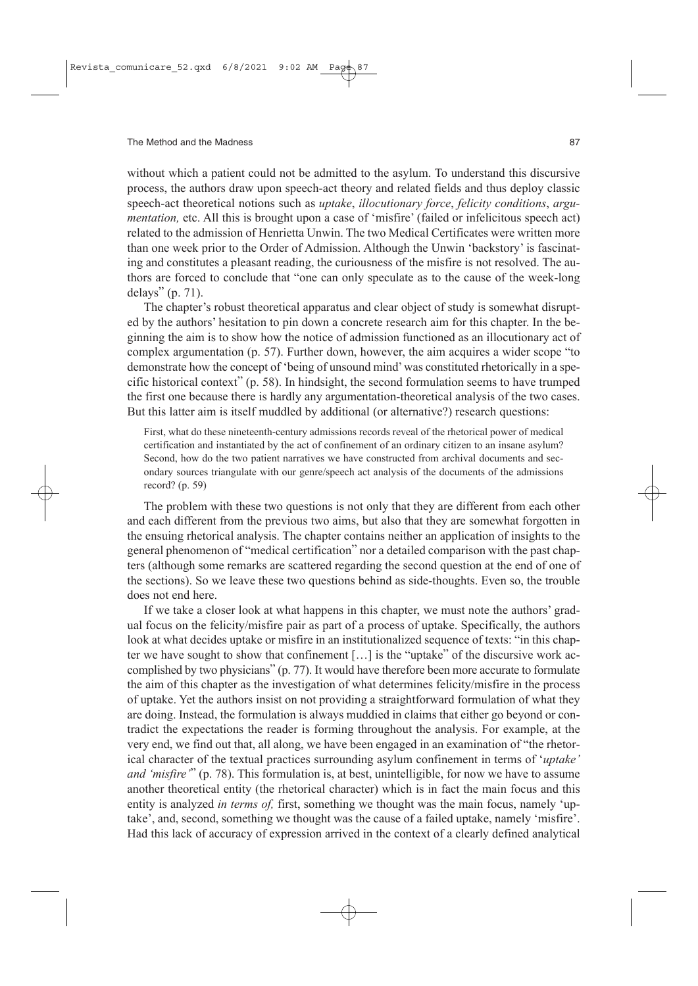without which a patient could not be admitted to the asylum. To understand this discursive process, the authors draw upon speech-act theory and related fields and thus deploy classic speech-act theoretical notions such as *uptake*, *illocutionary force*, *felicity conditions*, *argumentation,* etc. All this is brought upon a case of 'misfire' (failed or infelicitous speech act) related to the admission of Henrietta Unwin. The two Medical Certificates were written more than one week prior to the Order of Admission. Although the Unwin 'backstory' is fascinating and constitutes a pleasant reading, the curiousness of the misfire is not resolved. The authors are forced to conclude that "one can only speculate as to the cause of the week-long delays" (p. 71).

The chapter's robust theoretical apparatus and clear object of study is somewhat disrupted by the authors' hesitation to pin down a concrete research aim for this chapter. In the beginning the aim is to show how the notice of admission functioned as an illocutionary act of complex argumentation (p. 57). Further down, however, the aim acquires a wider scope "to demonstrate how the concept of 'being of unsound mind' was constituted rhetorically in a specific historical context" (p. 58). In hindsight, the second formulation seems to have trumped the first one because there is hardly any argumentation-theoretical analysis of the two cases. But this latter aim is itself muddled by additional (or alternative?) research questions:

First, what do these nineteenth-century admissions records reveal of the rhetorical power of medical certification and instantiated by the act of confinement of an ordinary citizen to an insane asylum? Second, how do the two patient narratives we have constructed from archival documents and secondary sources triangulate with our genre/speech act analysis of the documents of the admissions record? (p. 59)

The problem with these two questions is not only that they are different from each other and each different from the previous two aims, but also that they are somewhat forgotten in the ensuing rhetorical analysis. The chapter contains neither an application of insights to the general phenomenon of "medical certification" nor a detailed comparison with the past chapters (although some remarks are scattered regarding the second question at the end of one of the sections). So we leave these two questions behind as side-thoughts. Even so, the trouble does not end here.

If we take a closer look at what happens in this chapter, we must note the authors' gradual focus on the felicity/misfire pair as part of a process of uptake. Specifically, the authors look at what decides uptake or misfire in an institutionalized sequence of texts: "in this chapter we have sought to show that confinement  $[\,\ldots\,]$  is the "uptake" of the discursive work accomplished by two physicians" (p. 77). It would have therefore been more accurate to formulate the aim of this chapter as the investigation of what determines felicity/misfire in the process of uptake. Yet the authors insist on not providing a straightforward formulation of what they are doing. Instead, the formulation is always muddied in claims that either go beyond or contradict the expectations the reader is forming throughout the analysis. For example, at the very end, we find out that, all along, we have been engaged in an examination of "the rhetorical character of the textual practices surrounding asylum confinement in terms of '*uptake' and 'misfire'*" (p. 78). This formulation is, at best, unintelligible, for now we have to assume another theoretical entity (the rhetorical character) which is in fact the main focus and this entity is analyzed *in terms of,* first, something we thought was the main focus, namely 'uptake', and, second, something we thought was the cause of a failed uptake, namely 'misfire'. Had this lack of accuracy of expression arrived in the context of a clearly defined analytical